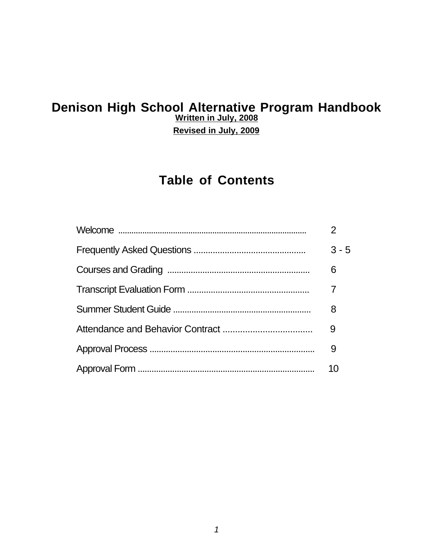## **Denison High School Alternative Program Handbook Written in July, 2008**

**Revised in July, 2009**

# **Table of Contents**

| $3 - 5$ |
|---------|
| 6       |
|         |
| 8       |
| 9       |
| 9       |
| 10      |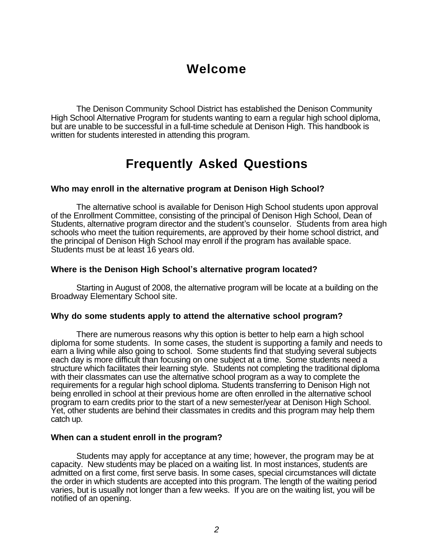# **Welcome**

The Denison Community School District has established the Denison Community High School Alternative Program for students wanting to earn a regular high school diploma, but are unable to be successful in a full-time schedule at Denison High. This handbook is written for students interested in attending this program.

# **Frequently Asked Questions**

### **Who may enroll in the alternative program at Denison High School?**

The alternative school is available for Denison High School students upon approval of the Enrollment Committee, consisting of the principal of Denison High School, Dean of Students, alternative program director and the student's counselor. Students from area high schools who meet the tuition requirements, are approved by their home school district, and the principal of Denison High School may enroll if the program has available space. Students must be at least 16 years old.

#### **Where is the Denison High School's alternative program located?**

Starting in August of 2008, the alternative program will be locate at a building on the Broadway Elementary School site.

#### **Why do some students apply to attend the alternative school program?**

There are numerous reasons why this option is better to help earn a high school diploma for some students. In some cases, the student is supporting a family and needs to earn a living while also going to school. Some students find that studying several subjects each day is more difficult than focusing on one subject at a time. Some students need a structure which facilitates their learning style. Students not completing the traditional diploma with their classmates can use the alternative school program as a way to complete the requirements for a regular high school diploma. Students transferring to Denison High not being enrolled in school at their previous home are often enrolled in the alternative school program to earn credits prior to the start of a new semester/year at Denison High School. Yet, other students are behind their classmates in credits and this program may help them catch up.

#### **When can a student enroll in the program?**

Students may apply for acceptance at any time; however, the program may be at capacity. New students may be placed on a waiting list. In most instances, students are admitted on a first come, first serve basis. In some cases, special circumstances will dictate the order in which students are accepted into this program. The length of the waiting period varies, but is usually not longer than a few weeks. If you are on the waiting list, you will be notified of an opening.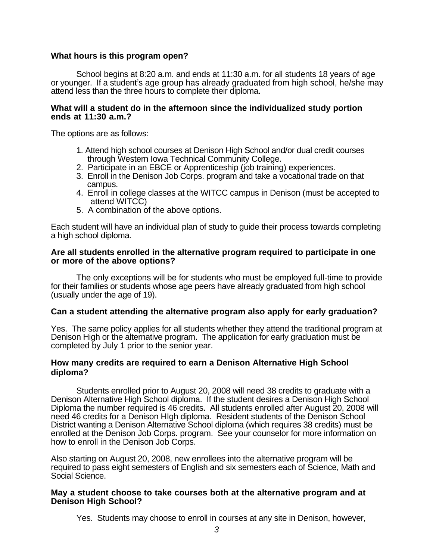### **What hours is this program open?**

School begins at 8:20 a.m. and ends at 11:30 a.m. for all students 18 years of age or younger. If a student's age group has already graduated from high school, he/she may attend less than the three hours to complete their diploma.

#### **What will a student do in the afternoon since the individualized study portion ends at 11:30 a.m.?**

The options are as follows:

- 1. Attend high school courses at Denison High School and/or dual credit courses through Western Iowa Technical Community College.
- 2. Participate in an EBCE or Apprenticeship (job training) experiences.
- 3. Enroll in the Denison Job Corps. program and take a vocational trade on that campus.
- 4. Enroll in college classes at the WITCC campus in Denison (must be accepted to attend WITCC)
- 5. A combination of the above options.

Each student will have an individual plan of study to guide their process towards completing a high school diploma.

#### **Are all students enrolled in the alternative program required to participate in one or more of the above options?**

The only exceptions will be for students who must be employed full-time to provide for their families or students whose age peers have already graduated from high school (usually under the age of 19).

### **Can a student attending the alternative program also apply for early graduation?**

Yes. The same policy applies for all students whether they attend the traditional program at Denison High or the alternative program. The application for early graduation must be completed by July 1 prior to the senior year.

### **How many credits are required to earn a Denison Alternative High School diploma?**

Students enrolled prior to August 20, 2008 will need 38 credits to graduate with a Denison Alternative High School diploma. If the student desires a Denison High School Diploma the number required is 46 credits. All students enrolled after August 20, 2008 will need 46 credits for a Denison HIgh diploma. Resident students of the Denison School District wanting a Denison Alternative School diploma (which requires 38 credits) must be enrolled at the Denison Job Corps. program. See your counselor for more information on how to enroll in the Denison Job Corps.

Also starting on August 20, 2008, new enrollees into the alternative program will be required to pass eight semesters of English and six semesters each of Science, Math and Social Science.

#### **May a student choose to take courses both at the alternative program and at Denison High School?**

Yes. Students may choose to enroll in courses at any site in Denison, however,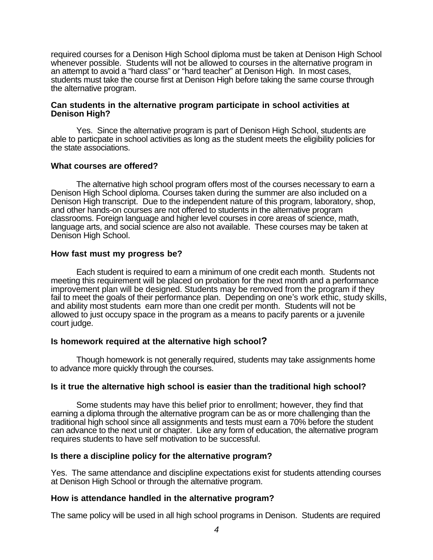required courses for a Denison High School diploma must be taken at Denison High School whenever possible. Students will not be allowed to courses in the alternative program in an attempt to avoid a "hard class" or "hard teacher" at Denison High. In most cases, students must take the course first at Denison High before taking the same course through the alternative program.

#### **Can students in the alternative program participate in school activities at Denison High?**

Yes. Since the alternative program is part of Denison High School, students are able to particpate in school activities as long as the student meets the eligibility policies for the state associations.

### **What courses are offered?**

The alternative high school program offers most of the courses necessary to earn a Denison High School diploma. Courses taken during the summer are also included on a Denison High transcript. Due to the independent nature of this program, laboratory, shop, and other hands-on courses are not offered to students in the alternative program classrooms. Foreign language and higher level courses in core areas of science, math, language arts, and social science are also not available. These courses may be taken at Denison High School.

#### **How fast must my progress be?**

Each student is required to earn a minimum of one credit each month. Students not meeting this requirement will be placed on probation for the next month and a performance improvement plan will be designed. Students may be removed from the program if they fail to meet the goals of their performance plan. Depending on one's work ethic, study skills, and ability most students earn more than one credit per month. Students will not be allowed to just occupy space in the program as a means to pacify parents or a juvenile court judge.

### **Is homework required at the alternative high school?**

Though homework is not generally required, students may take assignments home to advance more quickly through the courses.

### **Is it true the alternative high school is easier than the traditional high school?**

Some students may have this belief prior to enrollment; however, they find that earning a diploma through the alternative program can be as or more challenging than the traditional high school since all assignments and tests must earn a 70% before the student can advance to the next unit or chapter. Like any form of education, the alternative program requires students to have self motivation to be successful.

#### **Is there a discipline policy for the alternative program?**

Yes. The same attendance and discipline expectations exist for students attending courses at Denison High School or through the alternative program.

### **How is attendance handled in the alternative program?**

The same policy will be used in all high school programs in Denison. Students are required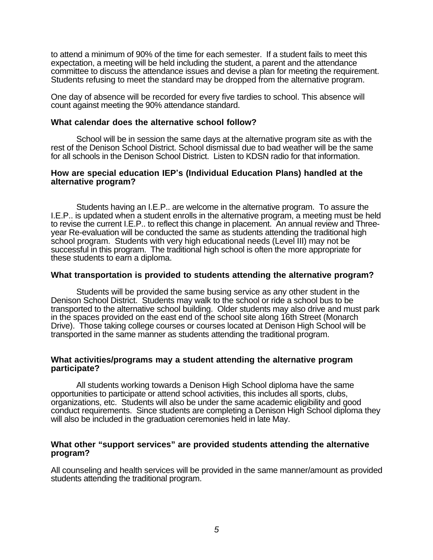to attend a minimum of 90% of the time for each semester. If a student fails to meet this expectation, a meeting will be held including the student, a parent and the attendance committee to discuss the attendance issues and devise a plan for meeting the requirement. Students refusing to meet the standard may be dropped from the alternative program.

One day of absence will be recorded for every five tardies to school. This absence will count against meeting the 90% attendance standard.

#### **What calendar does the alternative school follow?**

School will be in session the same days at the alternative program site as with the rest of the Denison School District. School dismissal due to bad weather will be the same for all schools in the Denison School District. Listen to KDSN radio for that information.

#### **How are special education IEP's (Individual Education Plans) handled at the alternative program?**

Students having an I.E.P.. are welcome in the alternative program. To assure the I.E.P.. is updated when a student enrolls in the alternative program, a meeting must be held to revise the current I.E.P.. to reflect this change in placement. An annual review and Threeyear Re-evaluation will be conducted the same as students attending the traditional high school program. Students with very high educational needs (Level III) may not be successful in this program. The traditional high school is often the more appropriate for these students to earn a diploma.

#### **What transportation is provided to students attending the alternative program?**

Students will be provided the same busing service as any other student in the Denison School District. Students may walk to the school or ride a school bus to be transported to the alternative school building. Older students may also drive and must park in the spaces provided on the east end of the school site along 16th Street (Monarch Drive). Those taking college courses or courses located at Denison High School will be transported in the same manner as students attending the traditional program.

#### **What activities/programs may a student attending the alternative program participate?**

All students working towards a Denison High School diploma have the same opportunities to participate or attend school activities, this includes all sports, clubs, organizations, etc. Students will also be under the same academic eligibility and good conduct requirements. Since students are completing a Denison High School diploma they will also be included in the graduation ceremonies held in late May.

#### **What other "support services" are provided students attending the alternative program?**

All counseling and health services will be provided in the same manner/amount as provided students attending the traditional program.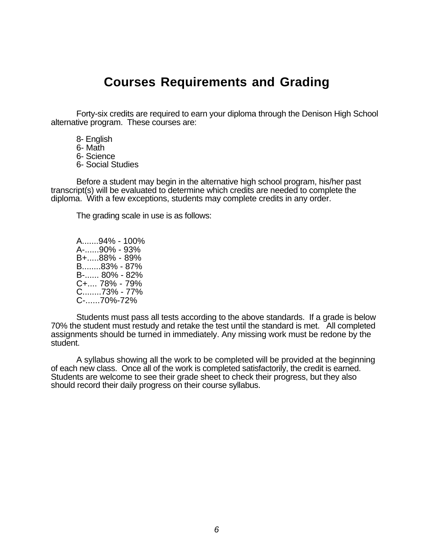# **Courses Requirements and Grading**

Forty-six credits are required to earn your diploma through the Denison High School alternative program. These courses are:

- 8- English
- 6- Math
- 6- Science
- 6- Social Studies

Before a student may begin in the alternative high school program, his/her past transcript(s) will be evaluated to determine which credits are needed to complete the diploma. With a few exceptions, students may complete credits in any order.

The grading scale in use is as follows:

A.......94% - 100% A-......90% - 93% B+.....88% - 89% B........83% - 87% B-...... 80% - 82% C+.... 78% - 79% C........73% - 77% C-......70%-72%

Students must pass all tests according to the above standards. If a grade is below 70% the student must restudy and retake the test until the standard is met. All completed assignments should be turned in immediately. Any missing work must be redone by the student.

A syllabus showing all the work to be completed will be provided at the beginning of each new class. Once all of the work is completed satisfactorily, the credit is earned. Students are welcome to see their grade sheet to check their progress, but they also should record their daily progress on their course syllabus.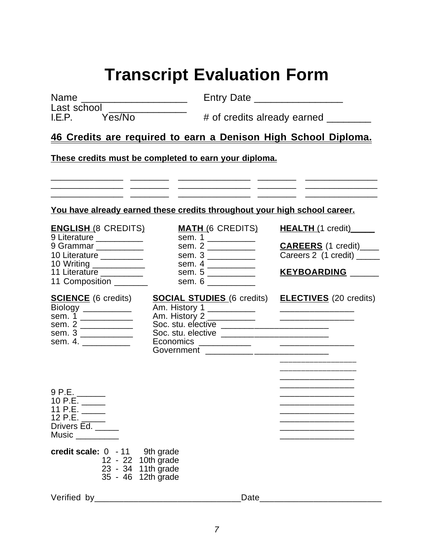# **Transcript Evaluation Form**

Name \_\_\_\_\_\_\_\_\_\_\_\_\_\_\_\_\_\_\_ Entry Date \_\_\_\_\_\_\_\_\_\_\_\_\_\_\_\_

Last school<br>LE.P. Yes/No

 $#$  of credits already earned

## **46 Credits are required to earn a Denison High School Diploma.**

\_\_\_\_\_\_\_\_\_\_\_\_\_\_\_ \_\_\_\_\_\_\_\_ \_\_\_\_\_\_\_\_\_\_\_\_\_\_\_ \_\_\_\_\_\_\_\_ \_\_\_\_\_\_\_\_\_\_\_\_\_\_\_ \_\_\_\_\_\_\_\_\_\_\_\_\_\_\_ \_\_\_\_\_\_\_\_ \_\_\_\_\_\_\_\_\_\_\_\_\_\_\_ \_\_\_\_\_\_\_\_ \_\_\_\_\_\_\_\_\_\_\_\_\_\_\_  $\frac{1}{2}$  ,  $\frac{1}{2}$  ,  $\frac{1}{2}$  ,  $\frac{1}{2}$  ,  $\frac{1}{2}$  ,  $\frac{1}{2}$  ,  $\frac{1}{2}$  ,  $\frac{1}{2}$  ,  $\frac{1}{2}$  ,  $\frac{1}{2}$  ,  $\frac{1}{2}$  ,  $\frac{1}{2}$  ,  $\frac{1}{2}$  ,  $\frac{1}{2}$  ,  $\frac{1}{2}$  ,  $\frac{1}{2}$  ,  $\frac{1}{2}$  ,  $\frac{1}{2}$  ,  $\frac{1$ 

**These credits must be completed to earn your diploma.**

| You have already earned these credits throughout your high school career. |  |  |
|---------------------------------------------------------------------------|--|--|
|                                                                           |  |  |

| <b>ENGLISH (8 CREDITS)</b> | <b>MATH (6 CREDITS)</b> |
|----------------------------|-------------------------|
| 9 Literature __________    | sem. 1 ____________     |
| 9 Grammar __________       | sem. 2                  |
| 10 Literature _________    | sem. 3                  |
| 10 Writing ____________    | sem. 4                  |
| 11 Literature              | sem. 5                  |
| 11 Composition _______     | sem. 6                  |
|                            |                         |

| sem. 1 |                           |
|--------|---------------------------|
| sem. 2 | <b>CAREERS</b> (1 credit) |
| sem. 3 | Careers 2 (1 credit) __   |
| sem. 4 |                           |
| sem. 5 | <b>KEYBOARDING</b>        |
| sem. 6 |                           |

**MATH** (6 CREDITS) **HEALTH** (1 credit)\_\_\_\_\_

\_\_\_\_\_\_\_\_\_\_\_\_\_\_\_\_\_\_

# sem. 1<br>
sem. 2<br>
sem. 3<br>
sem. 4.

| <b>SCIENCE</b> (6 credits)                                      | <b>SOCIAL STUDIES</b> (6 credits) | <b>ELECTIVES</b> (20 credits) |
|-----------------------------------------------------------------|-----------------------------------|-------------------------------|
| <b>Biology</b><br><u> 1980 - Johann Barnett, fransk politik</u> | Am. History 1                     |                               |
| sem. 1                                                          | Am. History 2                     |                               |
| sem. 2                                                          | Soc. stu. elective                |                               |
| sem. 3                                                          | Soc. stu. elective                |                               |
| sem. 4.                                                         | Economics                         |                               |
|                                                                 | Government                        |                               |
|                                                                 |                                   |                               |

\_\_\_\_\_\_\_\_\_\_\_\_\_\_\_ 9 P.E. \_\_\_\_\_\_ \_\_\_\_\_\_\_\_\_\_\_\_\_\_\_ 10 P.E. \_\_\_\_\_ \_\_\_\_\_\_\_\_\_\_\_\_\_\_\_ 11 P.E. \_\_\_\_\_ \_\_\_\_\_\_\_\_\_\_\_\_\_\_\_ 12 P.E. \_\_\_\_\_ \_\_\_\_\_\_\_\_\_\_\_\_\_\_\_ Drivers Ed. \_\_\_\_\_ \_\_\_\_\_\_\_\_\_\_\_\_\_\_\_

Music \_\_\_\_\_\_\_\_\_ \_\_\_\_\_\_\_\_\_\_\_\_\_\_\_

| credit scale: 0 - 11 | 9th grade          |
|----------------------|--------------------|
|                      | 12 - 22 10th grade |
|                      | 23 - 34 11th grade |
|                      | 35 - 46 12th grade |

Verified by\_\_\_\_\_\_\_\_\_\_\_\_\_\_\_\_\_\_\_\_\_\_\_\_\_\_\_\_\_\_Date\_\_\_\_\_\_\_\_\_\_\_\_\_\_\_\_\_\_\_\_\_\_\_\_\_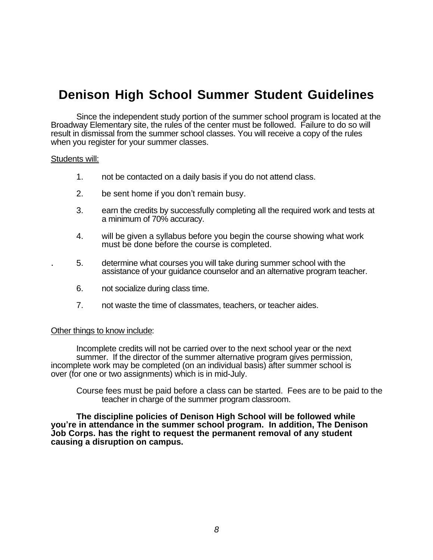# **Denison High School Summer Student Guidelines**

Since the independent study portion of the summer school program is located at the Broadway Elementary site, the rules of the center must be followed. Failure to do so will result in dismissal from the summer school classes. You will receive a copy of the rules when you register for your summer classes.

#### Students will:

- 1. not be contacted on a daily basis if you do not attend class.
- 2. be sent home if you don't remain busy.
- 3. earn the credits by successfully completing all the required work and tests at a minimum of 70% accuracy.
- 4. will be given a syllabus before you begin the course showing what work must be done before the course is completed.
- . 5. determine what courses you will take during summer school with the assistance of your guidance counselor and an alternative program teacher.
- 6. not socialize during class time.
- 7. not waste the time of classmates, teachers, or teacher aides.

#### Other things to know include:

Incomplete credits will not be carried over to the next school year or the next summer. If the director of the summer alternative program gives permission, incomplete work may be completed (on an individual basis) after summer school is over (for one or two assignments) which is in mid-July.

Course fees must be paid before a class can be started. Fees are to be paid to the teacher in charge of the summer program classroom.

**The discipline policies of Denison High School will be followed while you're in attendance in the summer school program. In addition, The Denison Job Corps. has the right to request the permanent removal of any student causing a disruption on campus.**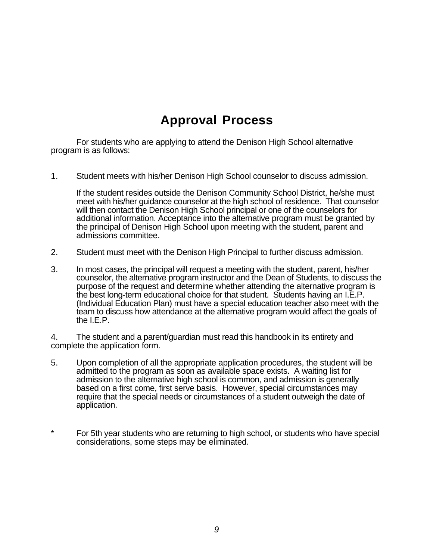# **Approval Process**

For students who are applying to attend the Denison High School alternative program is as follows:

1. Student meets with his/her Denison High School counselor to discuss admission.

If the student resides outside the Denison Community School District, he/she must meet with his/her guidance counselor at the high school of residence. That counselor will then contact the Denison High School principal or one of the counselors for additional information. Acceptance into the alternative program must be granted by the principal of Denison High School upon meeting with the student, parent and admissions committee.

- 2. Student must meet with the Denison High Principal to further discuss admission.
- 3. In most cases, the principal will request a meeting with the student, parent, his/her counselor, the alternative program instructor and the Dean of Students, to discuss the purpose of the request and determine whether attending the alternative program is the best long-term educational choice for that student. Students having an I.E.P. (Individual Education Plan) must have a special education teacher also meet with the team to discuss how attendance at the alternative program would affect the goals of the I.E.P.

4. The student and a parent/guardian must read this handbook in its entirety and complete the application form.

- 5. Upon completion of all the appropriate application procedures, the student will be admitted to the program as soon as available space exists. A waiting list for admission to the alternative high school is common, and admission is generally based on a first come, first serve basis. However, special circumstances may require that the special needs or circumstances of a student outweigh the date of application.
- For 5th year students who are returning to high school, or students who have special considerations, some steps may be eliminated.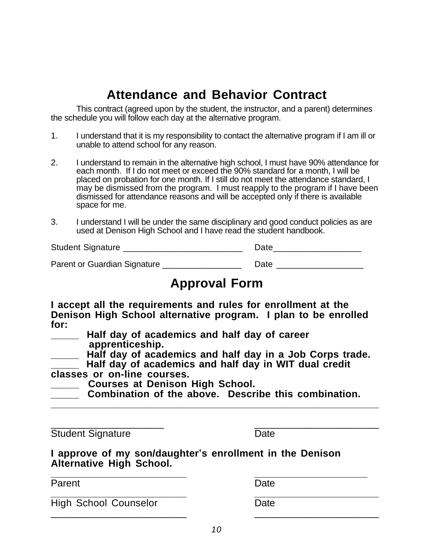# **Attendance and Behavior Contract**

This contract (agreed upon by the student, the instructor, and a parent) determines the schedule you will follow each day at the alternative program.

- 1. I understand that it is my responsibility to contact the alternative program if I am ill or unable to attend school for any reason.
- 2. I understand to remain in the alternative high school, I must have 90% attendance for each month. If I do not meet or exceed the 90% standard for a month, I will be placed on probation for one month. If I still do not meet the attendance standard, I may be dismissed from the program. I must reapply to the program if I have been dismissed for attendance reasons and will be accepted only if there is available space for me.
- 3. I understand I will be under the same disciplinary and good conduct policies as are used at Denison High School and I have read the student handbook.

| <b>Student Signature</b>     | Date |  |
|------------------------------|------|--|
| Parent or Guardian Signature | Date |  |

# **Approval Form**

**I accept all the requirements and rules for enrollment at the Denison High School alternative program. I plan to be enrolled for:**

**\_\_\_\_\_ Half day of academics and half day of career apprenticeship.**

**\_\_\_\_\_ Half day of academics and half day in a Job Corps trade.**

**\_\_\_\_\_ Half day of academics and half day in WIT dual credit classes or on-line courses.** 

- **\_\_\_\_\_ Courses at Denison High School.**
- **\_\_\_\_\_ Combination of the above. Describe this combination.**

**\_\_\_\_\_\_\_\_\_\_\_\_\_\_\_\_\_\_\_\_\_\_\_\_\_\_\_\_\_\_\_\_\_\_\_\_\_\_\_\_\_\_\_\_\_\_\_\_\_\_\_\_\_\_\_\_\_\_**

\_\_\_\_\_\_\_\_\_\_\_\_\_\_\_\_\_\_\_\_ \_\_\_\_\_\_\_\_\_\_\_\_\_\_\_\_\_\_\_\_\_\_ Student Signature Date

**I approve of my son/daughter's enrollment in the Denison Alternative High School.** 

**\_\_\_\_\_\_\_\_\_\_\_\_\_\_\_\_\_\_\_\_\_\_\_\_ \_\_\_\_\_\_\_\_\_\_\_\_\_\_\_\_\_\_\_\_**

Parent Date **\_\_\_\_\_\_\_\_\_\_\_\_\_\_\_\_\_\_\_\_\_\_\_\_ \_\_\_\_\_\_\_\_\_\_\_\_\_\_\_\_\_\_\_\_\_\_** High School Counselor Date \_\_\_\_\_\_\_\_\_\_\_\_\_\_\_\_\_\_\_\_\_\_\_\_ \_\_\_\_\_\_\_\_\_\_\_\_\_\_\_\_\_\_\_\_\_\_